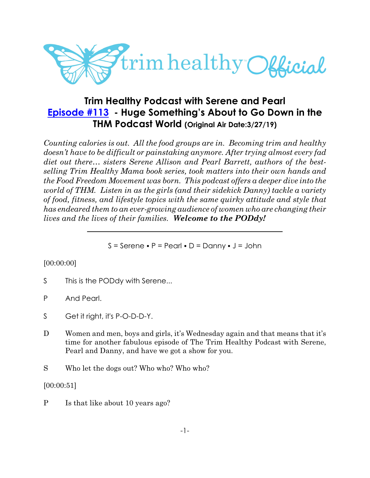

# **Trim Healthy Podcast with Serene and Pearl [Episode #113](https://cms.megaphone.fm/channel/trimhealthypodcast?selected=ADL4751372405) - Huge Something's About to Go Down in the THM Podcast World (Original Air Date:3/27/19)**

*Counting calories is out. All the food groups are in. Becoming trim and healthy doesn't have to be difficult or painstaking anymore. After trying almost every fad diet out there… sisters Serene Allison and Pearl Barrett, authors of the bestselling Trim Healthy Mama book series, took matters into their own hands and the Food Freedom Movement was born. This podcast offers a deeper dive into the world of THM. Listen in as the girls (and their sidekick Danny) tackle a variety of food, fitness, and lifestyle topics with the same quirky attitude and style that has endeared them to an ever-growing audience of women who are changing their lives and the lives of their families. Welcome to the PODdy!*

 $S =$  Serene • P = Pearl • D = Danny • J = John

# [00:00:00]

- S This is the PODdy with Serene...
- P And Pearl.
- S Get it right, it's P-O-D-D-Y.
- D Women and men, boys and girls, it's Wednesday again and that means that it's time for another fabulous episode of The Trim Healthy Podcast with Serene, Pearl and Danny, and have we got a show for you.
- S Who let the dogs out? Who who? Who who?

[00:00:51]

P Is that like about 10 years ago?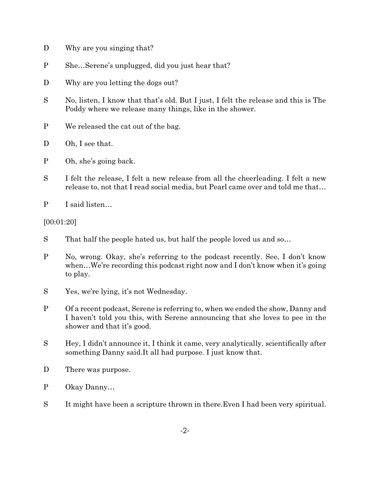- D Why are you singing that?
- P She…Serene's unplugged, did you just hear that?
- D Why are you letting the dogs out?
- S No, listen, I know that that's old. But I just, I felt the release and this is The Poddy where we release many things, like in the shower.
- P We released the cat out of the bag.
- D Oh, I see that.
- P Oh, she's going back.
- S I felt the release, I felt a new release from all the cheerleading. I felt a new release to, not that I read social media, but Pearl came over and told me that…
- P I said listen…

[00:01:20]

- S That half the people hated us, but half the people loved us and so…
- P No, wrong. Okay, she's referring to the podcast recently. See, I don't know when...We're recording this podcast right now and I don't know when it's going to play.
- S Yes, we're lying, it's not Wednesday.
- P Of a recent podcast, Serene is referring to, when we ended the show, Danny and I haven't told you this, with Serene announcing that she loves to pee in the shower and that it's good.
- S Hey, I didn't announce it, I think it came, very analytically, scientifically after something Danny said.It all had purpose. I just know that.
- D There was purpose.
- P Okay Danny…
- S It might have been a scripture thrown in there.Even I had been very spiritual.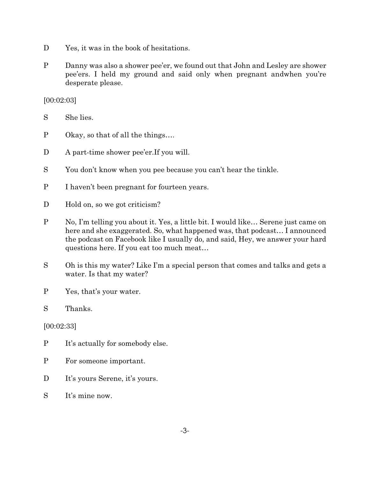- D Yes, it was in the book of hesitations.
- P Danny was also a shower pee'er, we found out that John and Lesley are shower pee'ers. I held my ground and said only when pregnant andwhen you're desperate please.

[00:02:03]

S She lies.

- P Okay, so that of all the things….
- D A part-time shower pee'er. If you will.
- S You don't know when you pee because you can't hear the tinkle.
- P I haven't been pregnant for fourteen years.
- D Hold on, so we got criticism?
- P No, I'm telling you about it. Yes, a little bit. I would like… Serene just came on here and she exaggerated. So, what happened was, that podcast… I announced the podcast on Facebook like I usually do, and said, Hey, we answer your hard questions here. If you eat too much meat…
- S Oh is this my water? Like I'm a special person that comes and talks and gets a water. Is that my water?
- P Yes, that's your water.
- S Thanks.

[00:02:33]

- P It's actually for somebody else.
- P For someone important.
- D It's yours Serene, it's yours.
- S It's mine now.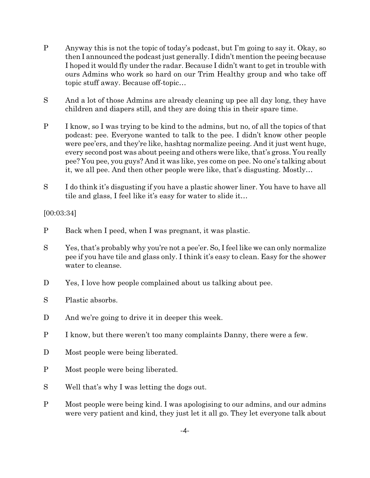- P Anyway this is not the topic of today's podcast, but I'm going to say it. Okay, so then I announced the podcast just generally. I didn't mention the peeing because I hoped it would fly under the radar. Because I didn't want to get in trouble with ours Admins who work so hard on our Trim Healthy group and who take off topic stuff away. Because off-topic…
- S And a lot of those Admins are already cleaning up pee all day long, they have children and diapers still, and they are doing this in their spare time.
- P I know, so I was trying to be kind to the admins, but no, of all the topics of that podcast: pee. Everyone wanted to talk to the pee. I didn't know other people were pee'ers, and they're like, hashtag normalize peeing. And it just went huge, every second post was about peeing and others were like, that's gross. You really pee? You pee, you guys? And it was like, yes come on pee. No one's talking about it, we all pee. And then other people were like, that's disgusting. Mostly…
- S I do think it's disgusting if you have a plastic shower liner. You have to have all tile and glass, I feel like it's easy for water to slide it…

[00:03:34]

- P Back when I peed, when I was pregnant, it was plastic.
- S Yes, that's probably why you're not a pee'er. So, I feel like we can only normalize pee if you have tile and glass only. I think it's easy to clean. Easy for the shower water to cleanse.
- D Yes, I love how people complained about us talking about pee.
- S Plastic absorbs.
- D And we're going to drive it in deeper this week.
- P I know, but there weren't too many complaints Danny, there were a few.
- D Most people were being liberated.
- P Most people were being liberated.
- S Well that's why I was letting the dogs out.
- P Most people were being kind. I was apologising to our admins, and our admins were very patient and kind, they just let it all go. They let everyone talk about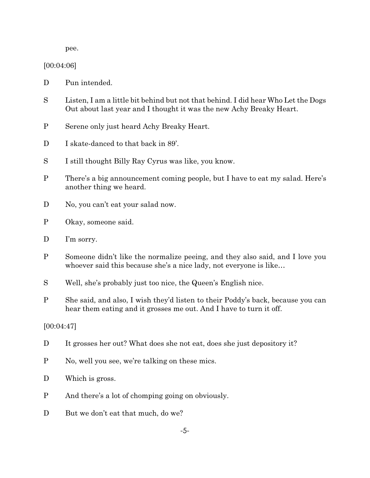pee.

[00:04:06]

- D Pun intended.
- S Listen, I am a little bit behind but not that behind. I did hear Who Let the Dogs Out about last year and I thought it was the new Achy Breaky Heart.
- P Serene only just heard Achy Breaky Heart.
- D I skate-danced to that back in 89'.
- S I still thought Billy Ray Cyrus was like, you know.
- P There's a big announcement coming people, but I have to eat my salad. Here's another thing we heard.
- D No, you can't eat your salad now.
- P Okay, someone said.
- D I'm sorry.
- P Someone didn't like the normalize peeing, and they also said, and I love you whoever said this because she's a nice lady, not everyone is like…
- S Well, she's probably just too nice, the Queen's English nice.
- P She said, and also, I wish they'd listen to their Poddy's back, because you can hear them eating and it grosses me out. And I have to turn it off.

[00:04:47]

- D It grosses her out? What does she not eat, does she just depository it?
- P No, well you see, we're talking on these mics.
- D Which is gross.
- P And there's a lot of chomping going on obviously.
- D But we don't eat that much, do we?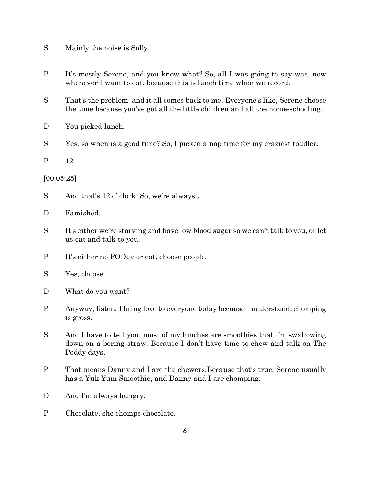- S Mainly the noise is Solly.
- P It's mostly Serene, and you know what? So, all I was going to say was, now whenever I want to eat, because this is lunch time when we record.
- S That's the problem, and it all comes back to me. Everyone's like, Serene choose the time because you've got all the little children and all the home-schooling.
- D You picked lunch.
- S Yes, so when is a good time? So, I picked a nap time for my craziest toddler.
- P 12.

#### [00:05:25]

- S And that's 12 o' clock. So, we're always...
- D Famished.
- S It's either we're starving and have low blood sugar so we can't talk to you, or let us eat and talk to you.
- P It's either no PODdy or eat, choose people.
- S Yes, choose.
- D What do you want?
- P Anyway, listen, I bring love to everyone today because I understand, chomping is gross.
- S And I have to tell you, most of my lunches are smoothies that I'm swallowing down on a boring straw. Because I don't have time to chew and talk on The Poddy days.
- P That means Danny and I are the chewers.Because that's true, Serene usually has a Yuk Yum Smoothie, and Danny and I are chomping.
- D And I'm always hungry.
- P Chocolate, she chomps chocolate.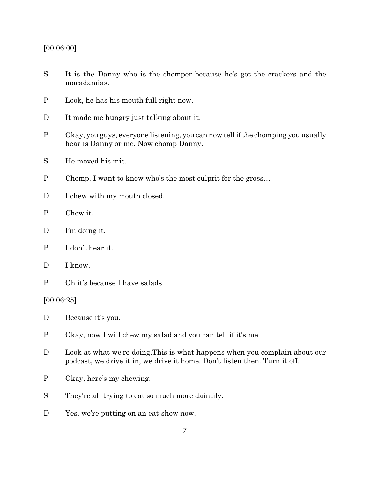#### [00:06:00]

- S It is the Danny who is the chomper because he's got the crackers and the macadamias.
- P Look, he has his mouth full right now.
- D It made me hungry just talking about it.
- P Okay, you guys, everyone listening, you can now tell if the chomping you usually hear is Danny or me. Now chomp Danny.
- S He moved his mic.
- P Chomp. I want to know who's the most culprit for the gross…
- D I chew with my mouth closed.
- P Chew it.
- D I'm doing it.
- P I don't hear it.
- D I know.
- P Oh it's because I have salads.

#### [00:06:25]

- D Because it's you.
- P Okay, now I will chew my salad and you can tell if it's me.
- D Look at what we're doing. This is what happens when you complain about our podcast, we drive it in, we drive it home. Don't listen then. Turn it off.
- P Okay, here's my chewing.
- S They're all trying to eat so much more daintily.
- D Yes, we're putting on an eat-show now.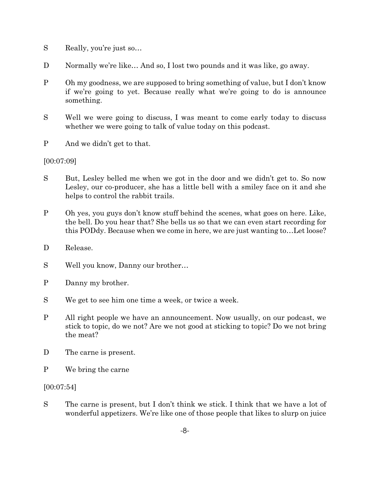- S Really, you're just so…
- D Normally we're like... And so, I lost two pounds and it was like, go away.
- P Oh my goodness, we are supposed to bring something of value, but I don't know if we're going to yet. Because really what we're going to do is announce something.
- S Well we were going to discuss, I was meant to come early today to discuss whether we were going to talk of value today on this podcast.
- P And we didn't get to that.

# [00:07:09]

- S But, Lesley belled me when we got in the door and we didn't get to. So now Lesley, our co-producer, she has a little bell with a smiley face on it and she helps to control the rabbit trails.
- P Oh yes, you guys don't know stuff behind the scenes, what goes on here. Like, the bell. Do you hear that? She bells us so that we can even start recording for this PODdy. Because when we come in here, we are just wanting to…Let loose?
- D Release.
- S Well you know, Danny our brother…
- P Danny my brother.
- S We get to see him one time a week, or twice a week.
- P All right people we have an announcement. Now usually, on our podcast, we stick to topic, do we not? Are we not good at sticking to topic? Do we not bring the meat?
- D The carne is present.
- P We bring the carne

[00:07:54]

S The carne is present, but I don't think we stick. I think that we have a lot of wonderful appetizers. We're like one of those people that likes to slurp on juice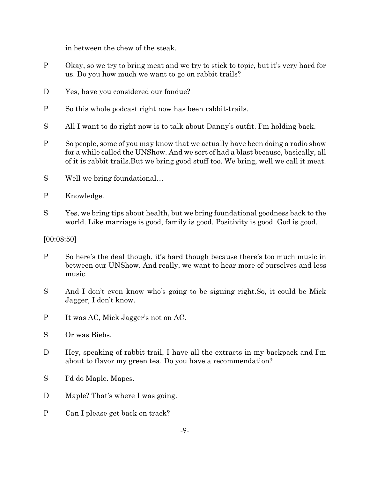in between the chew of the steak.

- P Okay, so we try to bring meat and we try to stick to topic, but it's very hard for us. Do you how much we want to go on rabbit trails?
- D Yes, have you considered our fondue?
- P So this whole podcast right now has been rabbit-trails.
- S All I want to do right now is to talk about Danny's outfit. I'm holding back.
- P So people, some of you may know that we actually have been doing a radio show for a while called the UNShow. And we sort of had a blast because, basically, all of it is rabbit trails.But we bring good stuff too. We bring, well we call it meat.
- S Well we bring foundational…
- P Knowledge.
- S Yes, we bring tips about health, but we bring foundational goodness back to the world. Like marriage is good, family is good. Positivity is good. God is good.

# [00:08:50]

- P So here's the deal though, it's hard though because there's too much music in between our UNShow. And really, we want to hear more of ourselves and less music.
- S And I don't even know who's going to be signing right.So, it could be Mick Jagger, I don't know.
- P It was AC, Mick Jagger's not on AC.
- S Or was Biebs.
- D Hey, speaking of rabbit trail, I have all the extracts in my backpack and I'm about to flavor my green tea. Do you have a recommendation?
- S I'd do Maple. Mapes.
- D Maple? That's where I was going.
- P Can I please get back on track?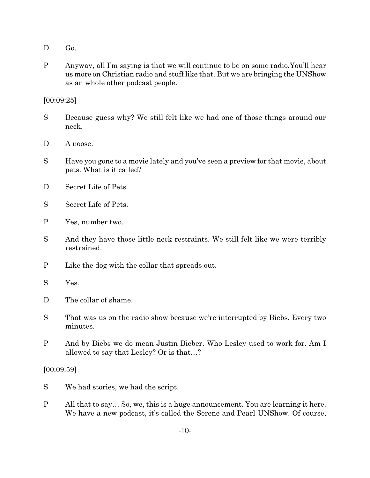- D Go.
- P Anyway, all I'm saying is that we will continue to be on some radio.You'll hear us more on Christian radio and stuff like that. But we are bringing the UNShow as an whole other podcast people.

### [00:09:25]

- S Because guess why? We still felt like we had one of those things around our neck.
- D A noose.
- S Have you gone to a movie lately and you've seen a preview for that movie, about pets. What is it called?
- D Secret Life of Pets.
- S Secret Life of Pets.
- P Yes, number two.
- S And they have those little neck restraints. We still felt like we were terribly restrained.
- P Like the dog with the collar that spreads out.
- S Yes.
- D The collar of shame.
- S That was us on the radio show because we're interrupted by Biebs. Every two minutes.
- P And by Biebs we do mean Justin Bieber. Who Lesley used to work for. Am I allowed to say that Lesley? Or is that…?

#### [00:09:59]

- S We had stories, we had the script.
- P All that to say… So, we, this is a huge announcement. You are learning it here. We have a new podcast, it's called the Serene and Pearl UNShow. Of course,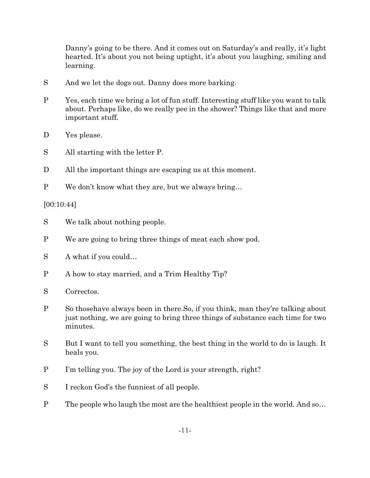Danny's going to be there. And it comes out on Saturday's and really, it's light hearted. It's about you not being uptight, it's about you laughing, smiling and learning.

- S And we let the dogs out. Danny does more barking.
- P Yes, each time we bring a lot of fun stuff. Interesting stuff like you want to talk about. Perhaps like, do we really pee in the shower? Things like that and more important stuff.
- D Yes please.
- S All starting with the letter P.
- D All the important things are escaping us at this moment.
- P We don't know what they are, but we always bring…

[00:10:44]

- S We talk about nothing people.
- P We are going to bring three things of meat each show pod.
- S A what if you could…
- P A how to stay married, and a Trim Healthy Tip?
- S Correctos.
- P So thosehave always been in there.So, if you think, man they're talking about just nothing, we are going to bring three things of substance each time for two minutes.
- S But I want to tell you something, the best thing in the world to do is laugh. It heals you.
- P I'm telling you. The joy of the Lord is your strength, right?
- S I reckon God's the funniest of all people.
- P The people who laugh the most are the healthiest people in the world. And so…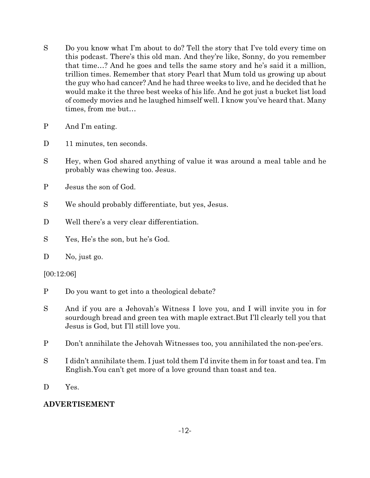- S Do you know what I'm about to do? Tell the story that I've told every time on this podcast. There's this old man. And they're like, Sonny, do you remember that time…? And he goes and tells the same story and he's said it a million, trillion times. Remember that story Pearl that Mum told us growing up about the guy who had cancer? And he had three weeks to live, and he decided that he would make it the three best weeks of his life. And he got just a bucket list load of comedy movies and he laughed himself well. I know you've heard that. Many times, from me but…
- P And I'm eating.
- D 11 minutes, ten seconds.
- S Hey, when God shared anything of value it was around a meal table and he probably was chewing too. Jesus.
- P Jesus the son of God.
- S We should probably differentiate, but yes, Jesus.
- D Well there's a very clear differentiation.
- S Yes, He's the son, but he's God.
- D No, just go.

[00:12:06]

- P Do you want to get into a theological debate?
- S And if you are a Jehovah's Witness I love you, and I will invite you in for sourdough bread and green tea with maple extract.But I'll clearly tell you that Jesus is God, but I'll still love you.
- P Don't annihilate the Jehovah Witnesses too, you annihilated the non-pee'ers.
- S I didn't annihilate them. I just told them I'd invite them in for toast and tea. I'm English.You can't get more of a love ground than toast and tea.
- D Yes.

# **ADVERTISEMENT**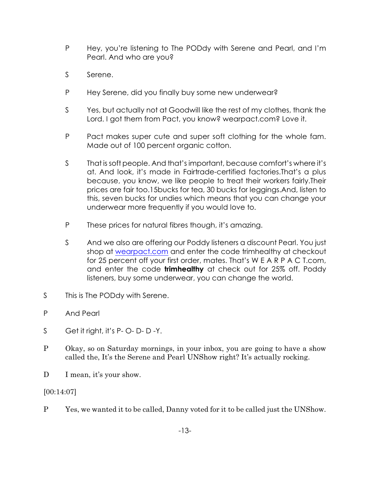- P Hey, you're listening to The PODdy with Serene and Pearl, and I'm Pearl. And who are you?
- S Serene.
- P Hey Serene, did you finally buy some new underwear?
- S Yes, but actually not at Goodwill like the rest of my clothes, thank the Lord. I got them from Pact, you know? wearpact.com? Love it.
- P Pact makes super cute and super soft clothing for the whole fam. Made out of 100 percent organic cotton.
- S That is soft people. And that's important, because comfort's where it's at. And look, it's made in Fairtrade-certified factories.That's a plus because, you know, we like people to treat their workers fairly.Their prices are fair too.15bucks for tea, 30 bucks for leggings.And, listen to this, seven bucks for undies which means that you can change your underwear more frequently if you would love to.
- P These prices for natural fibres though, it's amazing.
- S And we also are offering our Poddy listeners a discount Pearl. You just shop at [wearpact.com](http://www.wearpact.com) and enter the code trimhealthy at checkout for 25 percent off your first order, mates. That's W E A R P A C T.com, and enter the code **trimhealthy** at check out for 25% off. Poddy listeners, buy some underwear, you can change the world.
- S This is The PODdy with Serene.
- P And Pearl
- S Get it right, it's P-O-D-D-Y.
- P Okay, so on Saturday mornings, in your inbox, you are going to have a show called the, It's the Serene and Pearl UNShow right? It's actually rocking.
- D I mean, it's your show.

[00:14:07]

P Yes, we wanted it to be called, Danny voted for it to be called just the UNShow.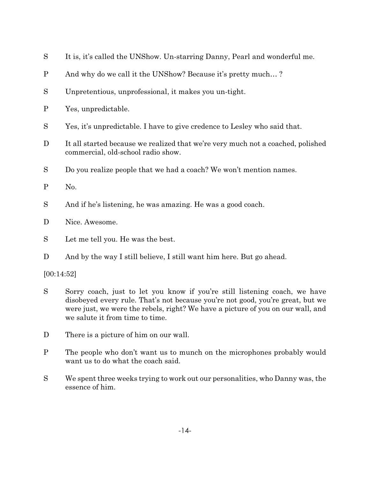- S It is, it's called the UNShow. Un-starring Danny, Pearl and wonderful me.
- P And why do we call it the UNShow? Because it's pretty much… ?
- S Unpretentious, unprofessional, it makes you un-tight.
- P Yes, unpredictable.
- S Yes, it's unpredictable. I have to give credence to Lesley who said that.
- D It all started because we realized that we're very much not a coached, polished commercial, old-school radio show.
- S Do you realize people that we had a coach? We won't mention names.
- P No.
- S And if he's listening, he was amazing. He was a good coach.
- D Nice. Awesome.
- S Let me tell you. He was the best.
- D And by the way I still believe, I still want him here. But go ahead.

[00:14:52]

- S Sorry coach, just to let you know if you're still listening coach, we have disobeyed every rule. That's not because you're not good, you're great, but we were just, we were the rebels, right? We have a picture of you on our wall, and we salute it from time to time.
- D There is a picture of him on our wall.
- P The people who don't want us to munch on the microphones probably would want us to do what the coach said.
- S We spent three weeks trying to work out our personalities, who Danny was, the essence of him.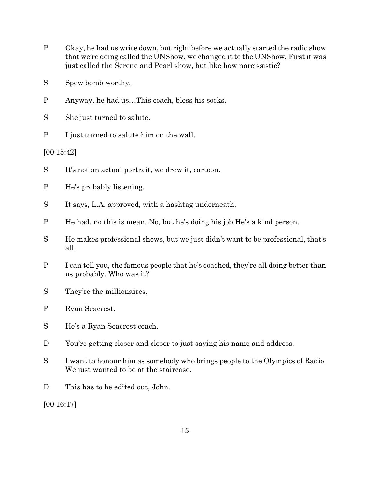- P Okay, he had us write down, but right before we actually started the radio show that we're doing called the UNShow, we changed it to the UNShow. First it was just called the Serene and Pearl show, but like how narcissistic?
- S Spew bomb worthy.
- P Anyway, he had us…This coach, bless his socks.
- S She just turned to salute.
- P I just turned to salute him on the wall.

[00:15:42]

- S It's not an actual portrait, we drew it, cartoon.
- P He's probably listening.
- S It says, L.A. approved, with a hashtag underneath.
- P He had, no this is mean. No, but he's doing his job.He's a kind person.
- S He makes professional shows, but we just didn't want to be professional, that's all.
- P I can tell you, the famous people that he's coached, they're all doing better than us probably. Who was it?
- S They're the millionaires.
- P Ryan Seacrest.
- S He's a Ryan Seacrest coach.
- D You're getting closer and closer to just saying his name and address.
- S I want to honour him as somebody who brings people to the Olympics of Radio. We just wanted to be at the staircase.
- D This has to be edited out, John.

[00:16:17]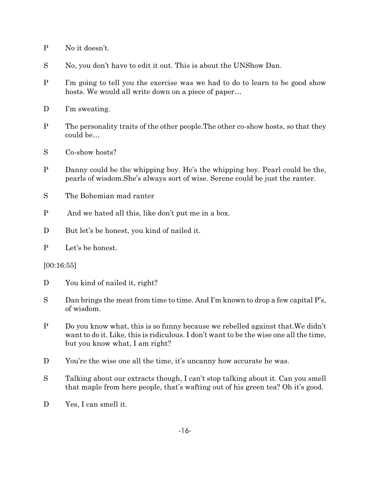- P No it doesn't.
- S No, you don't have to edit it out. This is about the UNShow Dan.
- P I'm going to tell you the exercise was we had to do to learn to be good show hosts. We would all write down on a piece of paper…
- D I'm sweating.
- P The personality traits of the other people.The other co-show hosts, so that they could be…
- S Co-show hosts?
- P Danny could be the whipping boy. He's the whipping boy. Pearl could be the, pearls of wisdom.She's always sort of wise. Serene could be just the ranter.
- S The Bohemian mad ranter
- P And we hated all this, like don't put me in a box.
- D But let's be honest, you kind of nailed it.
- P Let's be honest.

#### [00:16:55]

- D You kind of nailed it, right?
- S Dan brings the meat from time to time. And I'm known to drop a few capital P's, of wisdom.
- P Do you know what, this is so funny because we rebelled against that.We didn't want to do it. Like, this is ridiculous. I don't want to be the wise one all the time, but you know what, I am right?
- D You're the wise one all the time, it's uncanny how accurate he was.
- S Talking about our extracts though, I can't stop talking about it. Can you smell that maple from here people, that's wafting out of his green tea? Oh it's good.
- D Yes, I can smell it.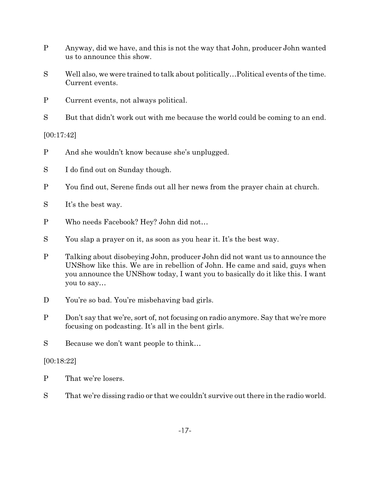- P Anyway, did we have, and this is not the way that John, producer John wanted us to announce this show.
- S Well also, we were trained to talk about politically…Political events of the time. Current events.
- P Current events, not always political.
- S But that didn't work out with me because the world could be coming to an end.

[00:17:42]

- P And she wouldn't know because she's unplugged.
- S I do find out on Sunday though.
- P You find out, Serene finds out all her news from the prayer chain at church.
- S It's the best way.
- P Who needs Facebook? Hey? John did not…
- S You slap a prayer on it, as soon as you hear it. It's the best way.
- P Talking about disobeying John, producer John did not want us to announce the UNShow like this. We are in rebellion of John. He came and said, guys when you announce the UNShow today, I want you to basically do it like this. I want you to say…
- D You're so bad. You're misbehaving bad girls.
- P Don't say that we're, sort of, not focusing on radio anymore. Say that we're more focusing on podcasting. It's all in the bent girls.
- S Because we don't want people to think…

# [00:18:22]

- P That we're losers.
- S That we're dissing radio or that we couldn't survive out there in the radio world.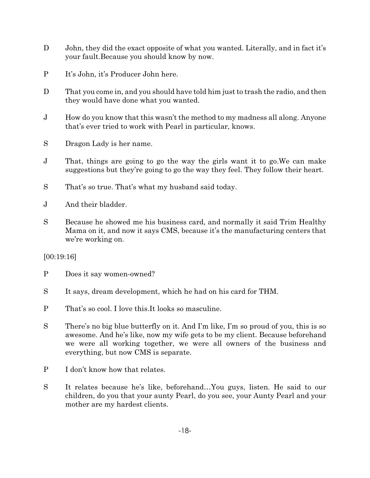- D John, they did the exact opposite of what you wanted. Literally, and in fact it's your fault.Because you should know by now.
- P It's John, it's Producer John here.
- D That you come in, and you should have told him just to trash the radio, and then they would have done what you wanted.
- J How do you know that this wasn't the method to my madness all along. Anyone that's ever tried to work with Pearl in particular, knows.
- S Dragon Lady is her name.
- J That, things are going to go the way the girls want it to go.We can make suggestions but they're going to go the way they feel. They follow their heart.
- S That's so true. That's what my husband said today.
- J And their bladder.
- S Because he showed me his business card, and normally it said Trim Healthy Mama on it, and now it says CMS, because it's the manufacturing centers that we're working on.

# [00:19:16]

- P Does it say women-owned?
- S It says, dream development, which he had on his card for THM.
- P That's so cool. I love this.It looks so masculine.
- S There's no big blue butterfly on it. And I'm like, I'm so proud of you, this is so awesome. And he's like, now my wife gets to be my client. Because beforehand we were all working together, we were all owners of the business and everything, but now CMS is separate.
- P I don't know how that relates.
- S It relates because he's like, beforehand…You guys, listen. He said to our children, do you that your aunty Pearl, do you see, your Aunty Pearl and your mother are my hardest clients.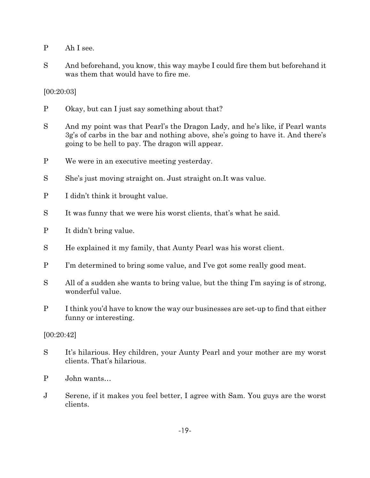- P Ah I see.
- S And beforehand, you know, this way maybe I could fire them but beforehand it was them that would have to fire me.

[00:20:03]

- P Okay, but can I just say something about that?
- S And my point was that Pearl's the Dragon Lady, and he's like, if Pearl wants 3g's of carbs in the bar and nothing above, she's going to have it. And there's going to be hell to pay. The dragon will appear.
- P We were in an executive meeting yesterday.
- S She's just moving straight on. Just straight on.It was value.
- P I didn't think it brought value.
- S It was funny that we were his worst clients, that's what he said.
- P It didn't bring value.
- S He explained it my family, that Aunty Pearl was his worst client.
- P I'm determined to bring some value, and I've got some really good meat.
- S All of a sudden she wants to bring value, but the thing I'm saying is of strong, wonderful value.
- P I think you'd have to know the way our businesses are set-up to find that either funny or interesting.

#### [00:20:42]

- S It's hilarious. Hey children, your Aunty Pearl and your mother are my worst clients. That's hilarious.
- P John wants…
- J Serene, if it makes you feel better, I agree with Sam. You guys are the worst clients.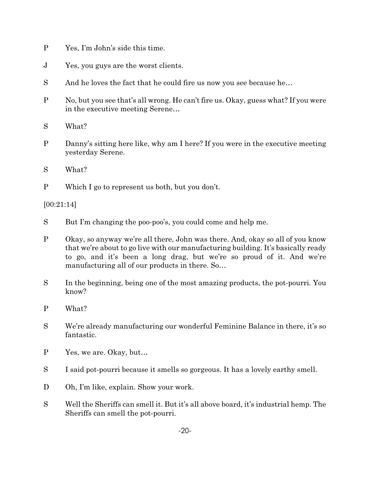- P Yes, I'm John's side this time.
- J Yes, you guys are the worst clients.
- S And he loves the fact that he could fire us now you see because he...
- P No, but you see that's all wrong. He can't fire us. Okay, guess what? If you were in the executive meeting Serene…
- S What?
- P Danny's sitting here like, why am I here? If you were in the executive meeting yesterday Serene.
- S What?
- P Which I go to represent us both, but you don't.

[00:21:14]

- S But I'm changing the poo-poo's, you could come and help me.
- P Okay, so anyway we're all there, John was there. And, okay so all of you know that we're about to go live with our manufacturing building. It's basically ready to go, and it's been a long drag, but we're so proud of it. And we're manufacturing all of our products in there. So…
- S In the beginning, being one of the most amazing products, the pot-pourri. You know?
- P What?
- S We're already manufacturing our wonderful Feminine Balance in there, it's so fantastic.
- P Yes, we are. Okay, but…
- S I said pot-pourri because it smells so gorgeous. It has a lovely earthy smell.
- D Oh, I'm like, explain. Show your work.
- S Well the Sheriffs can smell it. But it's all above board, it's industrial hemp. The Sheriffs can smell the pot-pourri.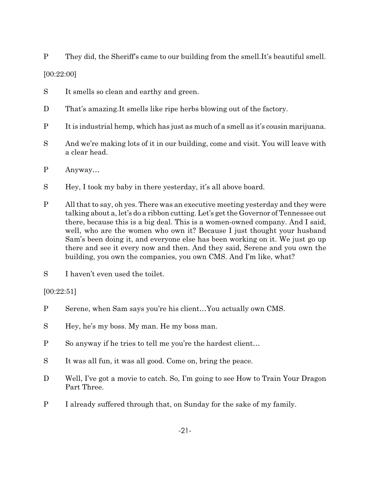P They did, the Sheriff's came to our building from the smell.It's beautiful smell.

[00:22:00]

- S It smells so clean and earthy and green.
- D That's amazing. It smells like ripe herbs blowing out of the factory.
- P It is industrial hemp, which has just as much of a smell as it's cousin marijuana.
- S And we're making lots of it in our building, come and visit. You will leave with a clear head.
- P Anyway…
- S Hey, I took my baby in there yesterday, it's all above board.
- P All that to say, oh yes. There was an executive meeting yesterday and they were talking about a, let's do a ribbon cutting. Let's get the Governor of Tennessee out there, because this is a big deal. This is a women-owned company. And I said, well, who are the women who own it? Because I just thought your husband Sam's been doing it, and everyone else has been working on it. We just go up there and see it every now and then. And they said, Serene and you own the building, you own the companies, you own CMS. And I'm like, what?
- S I haven't even used the toilet.

# [00:22:51]

- P Serene, when Sam says you're his client…You actually own CMS.
- S Hey, he's my boss. My man. He my boss man.
- P So anyway if he tries to tell me you're the hardest client…
- S It was all fun, it was all good. Come on, bring the peace.
- D Well, I've got a movie to catch. So, I'm going to see How to Train Your Dragon Part Three.
- P I already suffered through that, on Sunday for the sake of my family.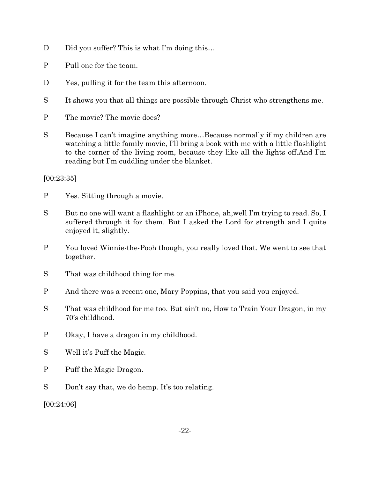- D Did you suffer? This is what I'm doing this...
- P Pull one for the team.
- D Yes, pulling it for the team this afternoon.
- S It shows you that all things are possible through Christ who strengthens me.
- P The movie? The movie does?
- S Because I can't imagine anything more…Because normally if my children are watching a little family movie, I'll bring a book with me with a little flashlight to the corner of the living room, because they like all the lights off.And I'm reading but I'm cuddling under the blanket.

# [00:23:35]

- P Yes. Sitting through a movie.
- S But no one will want a flashlight or an iPhone, ah,well I'm trying to read. So, I suffered through it for them. But I asked the Lord for strength and I quite enjoyed it, slightly.
- P You loved Winnie-the-Pooh though, you really loved that. We went to see that together.
- S That was childhood thing for me.
- P And there was a recent one, Mary Poppins, that you said you enjoyed.
- S That was childhood for me too. But ain't no, How to Train Your Dragon, in my 70's childhood.
- P Okay, I have a dragon in my childhood.
- S Well it's Puff the Magic.
- P Puff the Magic Dragon.
- S Don't say that, we do hemp. It's too relating.

[00:24:06]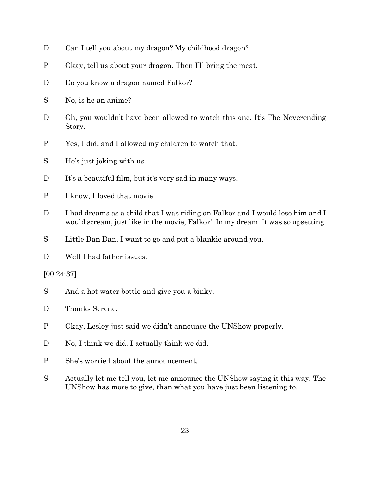- D Can I tell you about my dragon? My childhood dragon?
- P Okay, tell us about your dragon. Then I'll bring the meat.
- D Do you know a dragon named Falkor?
- S No, is he an anime?
- D Oh, you wouldn't have been allowed to watch this one. It's The Neverending Story.
- P Yes, I did, and I allowed my children to watch that.
- S He's just joking with us.
- D It's a beautiful film, but it's very sad in many ways.
- P I know, I loved that movie.
- D I had dreams as a child that I was riding on Falkor and I would lose him and I would scream, just like in the movie, Falkor! In my dream. It was so upsetting.
- S Little Dan Dan, I want to go and put a blankie around you.
- D Well I had father issues.

[00:24:37]

- S And a hot water bottle and give you a binky.
- D Thanks Serene.
- P Okay, Lesley just said we didn't announce the UNShow properly.
- D No, I think we did. I actually think we did.
- P She's worried about the announcement.
- S Actually let me tell you, let me announce the UNShow saying it this way. The UNShow has more to give, than what you have just been listening to.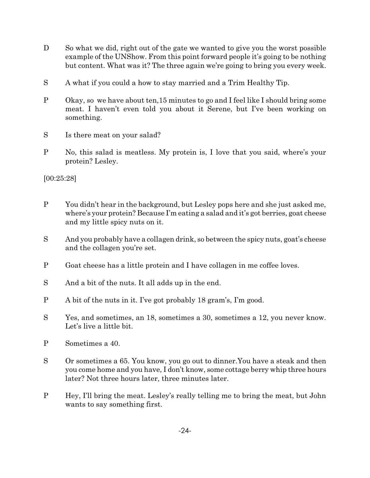- D So what we did, right out of the gate we wanted to give you the worst possible example of the UNShow. From this point forward people it's going to be nothing but content. What was it? The three again we're going to bring you every week.
- S A what if you could a how to stay married and a Trim Healthy Tip.
- P Okay, so we have about ten,15 minutes to go and I feel like I should bring some meat. I haven't even told you about it Serene, but I've been working on something.
- S Is there meat on your salad?
- P No, this salad is meatless. My protein is, I love that you said, where's your protein? Lesley.

[00:25:28]

- P You didn't hear in the background, but Lesley pops here and she just asked me, where's your protein? Because I'm eating a salad and it's got berries, goat cheese and my little spicy nuts on it.
- S And you probably have a collagen drink, so between the spicy nuts, goat's cheese and the collagen you're set.
- P Goat cheese has a little protein and I have collagen in me coffee loves.
- S And a bit of the nuts. It all adds up in the end.
- P A bit of the nuts in it. I've got probably 18 gram's, I'm good.
- S Yes, and sometimes, an 18, sometimes a 30, sometimes a 12, you never know. Let's live a little bit.
- P Sometimes a 40.
- S Or sometimes a 65. You know, you go out to dinner.You have a steak and then you come home and you have, I don't know, some cottage berry whip three hours later? Not three hours later, three minutes later.
- P Hey, I'll bring the meat. Lesley's really telling me to bring the meat, but John wants to say something first.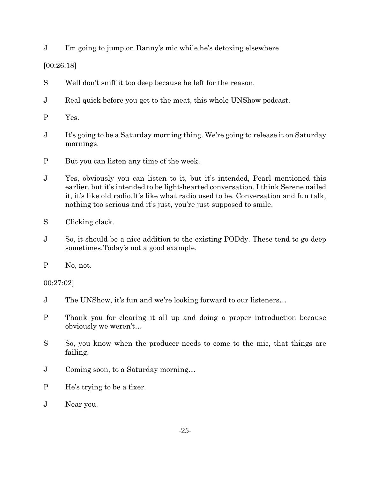J I'm going to jump on Danny's mic while he's detoxing elsewhere.

# [00:26:18]

- S Well don't sniff it too deep because he left for the reason.
- J Real quick before you get to the meat, this whole UNShow podcast.
- P Yes.
- J It's going to be a Saturday morning thing. We're going to release it on Saturday mornings.
- P But you can listen any time of the week.
- J Yes, obviously you can listen to it, but it's intended, Pearl mentioned this earlier, but it's intended to be light-hearted conversation. I think Serene nailed it, it's like old radio.It's like what radio used to be. Conversation and fun talk, nothing too serious and it's just, you're just supposed to smile.
- S Clicking clack.
- J So, it should be a nice addition to the existing PODdy. These tend to go deep sometimes.Today's not a good example.
- P No, not.

00:27:02]

- J The UNShow, it's fun and we're looking forward to our listeners…
- P Thank you for clearing it all up and doing a proper introduction because obviously we weren't…
- S So, you know when the producer needs to come to the mic, that things are failing.
- J Coming soon, to a Saturday morning…
- P He's trying to be a fixer.
- J Near you.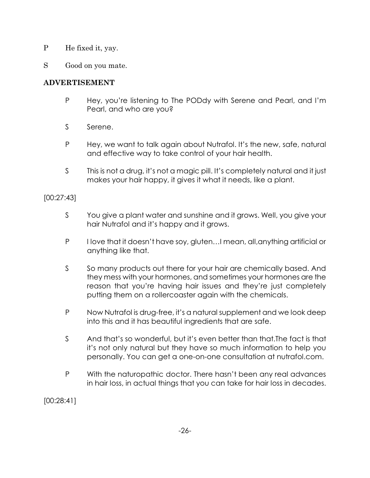- P He fixed it, yay.
- S Good on you mate.

# **ADVERTISEMENT**

- P Hey, you're listening to The PODdy with Serene and Pearl, and I'm Pearl, and who are you?
- S Serene.
- P Hey, we want to talk again about Nutrafol. It's the new, safe, natural and effective way to take control of your hair health.
- S This is not a drug, it's not a magic pill. It's completely natural and it just makes your hair happy, it gives it what it needs, like a plant.

# [00:27:43]

- S You give a plant water and sunshine and it grows. Well, you give your hair Nutrafol and it's happy and it grows.
- P I love that it doesn't have soy, gluten... I mean, all, anything artificial or anything like that.
- S So many products out there for your hair are chemically based. And they mess with your hormones, and sometimes your hormones are the reason that you're having hair issues and they're just completely putting them on a rollercoaster again with the chemicals.
- P Now Nutrafol is drug-free, it's a natural supplement and we look deep into this and it has beautiful ingredients that are safe.
- S And that's so wonderful, but it's even better than that.The fact is that it's not only natural but they have so much information to help you personally. You can get a one-on-one consultation at nutrafol.com.
- P With the naturopathic doctor. There hasn't been any real advances in hair loss, in actual things that you can take for hair loss in decades.

[00:28:41]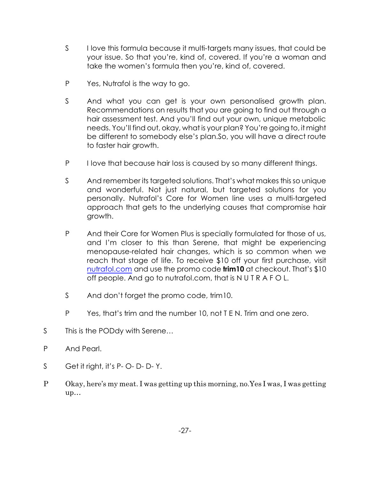- S I love this formula because it multi-targets many issues, that could be your issue. So that you're, kind of, covered. If you're a woman and take the women's formula then you're, kind of, covered.
- P Yes, Nutrafol is the way to go.
- S And what you can get is your own personalised growth plan. Recommendations on results that you are going to find out through a hair assessment test. And you'll find out your own, unique metabolic needs. You'll find out, okay, what is your plan? You're going to, it might be different to somebody else's plan.So, you will have a direct route to faster hair growth.
- P I love that because hair loss is caused by so many different things.
- S And remember its targeted solutions. That's what makes this so unique and wonderful. Not just natural, but targeted solutions for you personally. Nutrafol's Core for Women line uses a multi-targeted approach that gets to the underlying causes that compromise hair growth.
- P And their Core for Women Plus is specially formulated for those of us, and I'm closer to this than Serene, that might be experiencing menopause-related hair changes, which is so common when we reach that stage of life. To receive \$10 off your first purchase, visit [nutrafol.com](http://www.nutrafol.com) and use the promo code **trim10** at checkout. That's \$10 off people. And go to nutrafol.com, that is N U T R A F O L.
- S And don't forget the promo code, trim10.
- P Yes, that's trim and the number 10, not T E N. Trim and one zero.
- S This is the PODdy with Serene...
- P And Pearl.
- S Get it right, it's P-O-D-D-Y.
- P Okay, here's my meat. I was getting up this morning, no.Yes I was, I was getting up…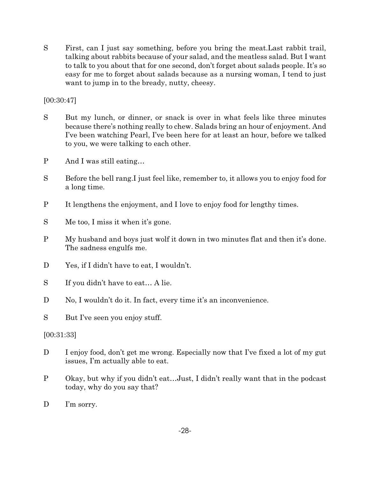S First, can I just say something, before you bring the meat.Last rabbit trail, talking about rabbits because of your salad, and the meatless salad. But I want to talk to you about that for one second, don't forget about salads people. It's so easy for me to forget about salads because as a nursing woman, I tend to just want to jump in to the bready, nutty, cheesy.

[00:30:47]

- S But my lunch, or dinner, or snack is over in what feels like three minutes because there's nothing really to chew. Salads bring an hour of enjoyment. And I've been watching Pearl, I've been here for at least an hour, before we talked to you, we were talking to each other.
- P And I was still eating…
- S Before the bell rang.I just feel like, remember to, it allows you to enjoy food for a long time.
- P It lengthens the enjoyment, and I love to enjoy food for lengthy times.
- S Me too, I miss it when it's gone.
- P My husband and boys just wolf it down in two minutes flat and then it's done. The sadness engulfs me.
- D Yes, if I didn't have to eat, I wouldn't.
- S If you didn't have to eat… A lie.
- D No, I wouldn't do it. In fact, every time it's an inconvenience.

S But I've seen you enjoy stuff.

# [00:31:33]

- D I enjoy food, don't get me wrong. Especially now that I've fixed a lot of my gut issues, I'm actually able to eat.
- P Okay, but why if you didn't eat…Just, I didn't really want that in the podcast today, why do you say that?
- D I'm sorry.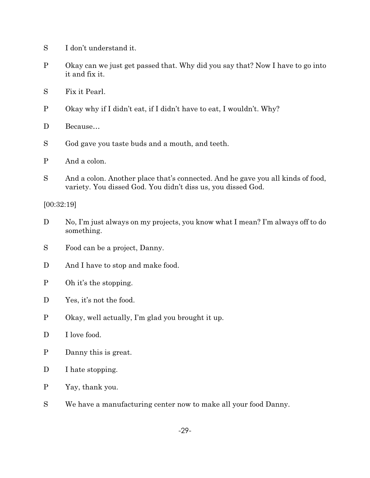- S I don't understand it.
- P Okay can we just get passed that. Why did you say that? Now I have to go into it and fix it.
- S Fix it Pearl.
- P Okay why if I didn't eat, if I didn't have to eat, I wouldn't. Why?
- D Because…
- S God gave you taste buds and a mouth, and teeth.
- P And a colon.
- S And a colon. Another place that's connected. And he gave you all kinds of food, variety. You dissed God. You didn't diss us, you dissed God.

[00:32:19]

- D No, I'm just always on my projects, you know what I mean? I'm always off to do something.
- S Food can be a project, Danny.
- D And I have to stop and make food.
- P Oh it's the stopping.
- D Yes, it's not the food.
- P Okay, well actually, I'm glad you brought it up.
- D I love food.
- P Danny this is great.
- D I hate stopping.
- P Yay, thank you.
- S We have a manufacturing center now to make all your food Danny.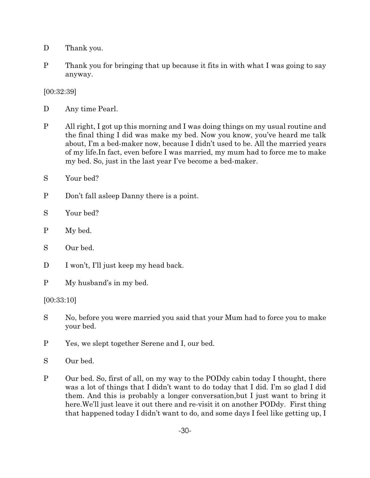- D Thank you.
- P Thank you for bringing that up because it fits in with what I was going to say anyway.

[00:32:39]

D Any time Pearl.

- P All right, I got up this morning and I was doing things on my usual routine and the final thing I did was make my bed. Now you know, you've heard me talk about, I'm a bed-maker now, because I didn't used to be. All the married years of my life.In fact, even before I was married, my mum had to force me to make my bed. So, just in the last year I've become a bed-maker.
- S Your bed?
- P Don't fall asleep Danny there is a point.
- S Your bed?
- P My bed.
- S Our bed.
- D I won't, I'll just keep my head back.
- P My husband's in my bed.

[00:33:10]

- S No, before you were married you said that your Mum had to force you to make your bed.
- P Yes, we slept together Serene and I, our bed.
- S Our bed.
- P Our bed. So, first of all, on my way to the PODdy cabin today I thought, there was a lot of things that I didn't want to do today that I did. I'm so glad I did them. And this is probably a longer conversation,but I just want to bring it here.We'll just leave it out there and re-visit it on another PODdy. First thing that happened today I didn't want to do, and some days I feel like getting up, I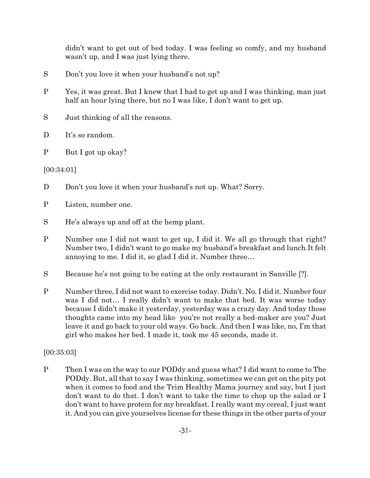didn't want to get out of bed today. I was feeling so comfy, and my husband wasn't up, and I was just lying there.

- S Don't you love it when your husband's not up?
- P Yes, it was great. But I knew that I had to get up and I was thinking, man just half an hour lying there, but no I was like, I don't want to get up.
- S Just thinking of all the reasons.
- D It's so random.
- P But I got up okay?

[00:34:01]

- D Don't you love it when your husband's not up. What? Sorry.
- P Listen, number one.
- S He's always up and off at the hemp plant.
- P Number one I did not want to get up, I did it. We all go through that right? Number two, I didn't want to go make my husband's breakfast and lunch.It felt annoying to me. I did it, so glad I did it. Number three…
- S Because he's not going to be eating at the only restaurant in Sanville [?].
- P Number three, I did not want to exercise today. Didn't. No. I did it. Number four was I did not… I really didn't want to make that bed. It was worse today because I didn't make it yesterday, yesterday was a crazy day. And today those thoughts came into my head like you're not really a bed-maker are you? Just leave it and go back to your old ways. Go back. And then I was like, no, I'm that girl who makes her bed. I made it, took me 45 seconds, made it.

# [00:35:03]

P Then I was on the way to our PODdy and guess what? I did want to come to The PODdy. But, all that to say I was thinking, sometimes we can get on the pity pot when it comes to food and the Trim Healthy Mama journey and say, but I just don't want to do that. I don't want to take the time to chop up the salad or I don't want to have protein for my breakfast. I really want my cereal, I just want it. And you can give yourselves license for these things in the other parts of your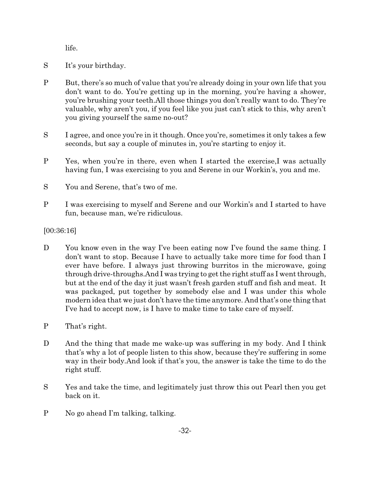life.

- S It's your birthday.
- P But, there's so much of value that you're already doing in your own life that you don't want to do. You're getting up in the morning, you're having a shower, you're brushing your teeth.All those things you don't really want to do. They're valuable, why aren't you, if you feel like you just can't stick to this, why aren't you giving yourself the same no-out?
- S I agree, and once you're in it though. Once you're, sometimes it only takes a few seconds, but say a couple of minutes in, you're starting to enjoy it.
- P Yes, when you're in there, even when I started the exercise,I was actually having fun, I was exercising to you and Serene in our Workin's, you and me.
- S You and Serene, that's two of me.
- P I was exercising to myself and Serene and our Workin's and I started to have fun, because man, we're ridiculous.

# [00:36:16]

- D You know even in the way I've been eating now I've found the same thing. I don't want to stop. Because I have to actually take more time for food than I ever have before. I always just throwing burritos in the microwave, going through drive-throughs.And I was trying to get the right stuff as I went through, but at the end of the day it just wasn't fresh garden stuff and fish and meat. It was packaged, put together by somebody else and I was under this whole modern idea that we just don't have the time anymore. And that's one thing that I've had to accept now, is I have to make time to take care of myself.
- P That's right.
- D And the thing that made me wake-up was suffering in my body. And I think that's why a lot of people listen to this show, because they're suffering in some way in their body.And look if that's you, the answer is take the time to do the right stuff.
- S Yes and take the time, and legitimately just throw this out Pearl then you get back on it.
- P No go ahead I'm talking, talking.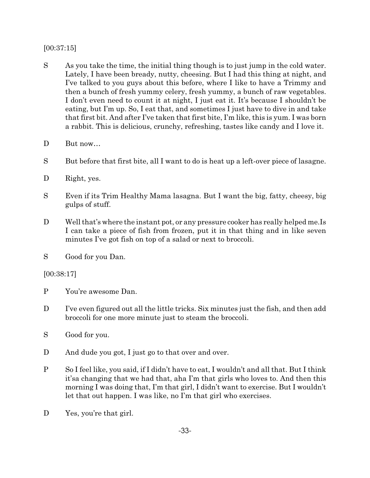# [00:37:15]

- S As you take the time, the initial thing though is to just jump in the cold water. Lately, I have been bready, nutty, cheesing. But I had this thing at night, and I've talked to you guys about this before, where I like to have a Trimmy and then a bunch of fresh yummy celery, fresh yummy, a bunch of raw vegetables. I don't even need to count it at night, I just eat it. It's because I shouldn't be eating, but I'm up. So, I eat that, and sometimes I just have to dive in and take that first bit. And after I've taken that first bite, I'm like, this is yum. I was born a rabbit. This is delicious, crunchy, refreshing, tastes like candy and I love it.
- D But now...
- S But before that first bite, all I want to do is heat up a left-over piece of lasagne.
- D Right, yes.
- S Even if its Trim Healthy Mama lasagna. But I want the big, fatty, cheesy, big gulps of stuff.
- D Well that's where the instant pot, or any pressure cooker has really helped me.Is I can take a piece of fish from frozen, put it in that thing and in like seven minutes I've got fish on top of a salad or next to broccoli.
- S Good for you Dan.

# [00:38:17]

- P You're awesome Dan.
- D I've even figured out all the little tricks. Six minutes just the fish, and then add broccoli for one more minute just to steam the broccoli.
- S Good for you.
- D And dude you got, I just go to that over and over.
- P So I feel like, you said, if I didn't have to eat, I wouldn't and all that. But I think it'sa changing that we had that, aha I'm that girls who loves to. And then this morning I was doing that, I'm that girl, I didn't want to exercise. But I wouldn't let that out happen. I was like, no I'm that girl who exercises.
- D Yes, you're that girl.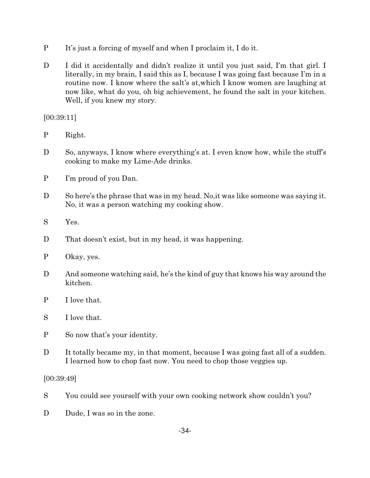- P It's just a forcing of myself and when I proclaim it, I do it.
- D I did it accidentally and didn't realize it until you just said, I'm that girl. I literally, in my brain, I said this as I, because I was going fast because I'm in a routine now. I know where the salt's at,which I know women are laughing at now like, what do you, oh big achievement, he found the salt in your kitchen. Well, if you knew my story.

### [00:39:11]

- P Right.
- D So, anyways, I know where everything's at. I even know how, while the stuff's cooking to make my Lime-Ade drinks.
- P I'm proud of you Dan.
- D So here's the phrase that was in my head. No, it was like some one was saying it. No, it was a person watching my cooking show.
- S Yes.
- D That doesn't exist, but in my head, it was happening.
- P Okay, yes.
- D And someone watching said, he's the kind of guy that knows his way around the kitchen.
- P I love that.
- S I love that.
- P So now that's your identity.
- D It totally became my, in that moment, because I was going fast all of a sudden. I learned how to chop fast now. You need to chop those veggies up.

[00:39:49]

- S You could see yourself with your own cooking network show couldn't you?
- D Dude, I was so in the zone.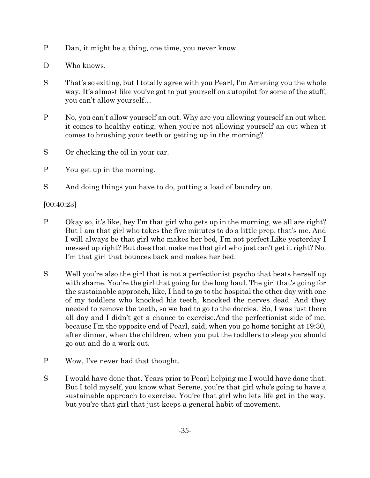- P Dan, it might be a thing, one time, you never know.
- D Who knows.
- S That's so exiting, but I totally agree with you Pearl, I'm Amening you the whole way. It's almost like you've got to put yourself on autopilot for some of the stuff, you can't allow yourself…
- P No, you can't allow yourself an out. Why are you allowing yourself an out when it comes to healthy eating, when you're not allowing yourself an out when it comes to brushing your teeth or getting up in the morning?
- S Or checking the oil in your car.
- P You get up in the morning.
- S And doing things you have to do, putting a load of laundry on.

[00:40:23]

- P Okay so, it's like, hey I'm that girl who gets up in the morning, we all are right? But I am that girl who takes the five minutes to do a little prep, that's me. And I will always be that girl who makes her bed, I'm not perfect.Like yesterday I messed up right? But does that make me that girl who just can't get it right? No. I'm that girl that bounces back and makes her bed.
- S Well you're also the girl that is not a perfectionist psycho that beats herself up with shame. You're the girl that going for the long haul. The girl that's going for the sustainable approach, like, I had to go to the hospital the other day with one of my toddlers who knocked his teeth, knocked the nerves dead. And they needed to remove the teeth, so we had to go to the doccies. So, I was just there all day and I didn't get a chance to exercise.And the perfectionist side of me, because I'm the opposite end of Pearl, said, when you go home tonight at 19:30, after dinner, when the children, when you put the toddlers to sleep you should go out and do a work out.
- P Wow, I've never had that thought.
- S I would have done that. Years prior to Pearl helping me I would have done that. But I told myself, you know what Serene, you're that girl who's going to have a sustainable approach to exercise. You're that girl who lets life get in the way, but you're that girl that just keeps a general habit of movement.